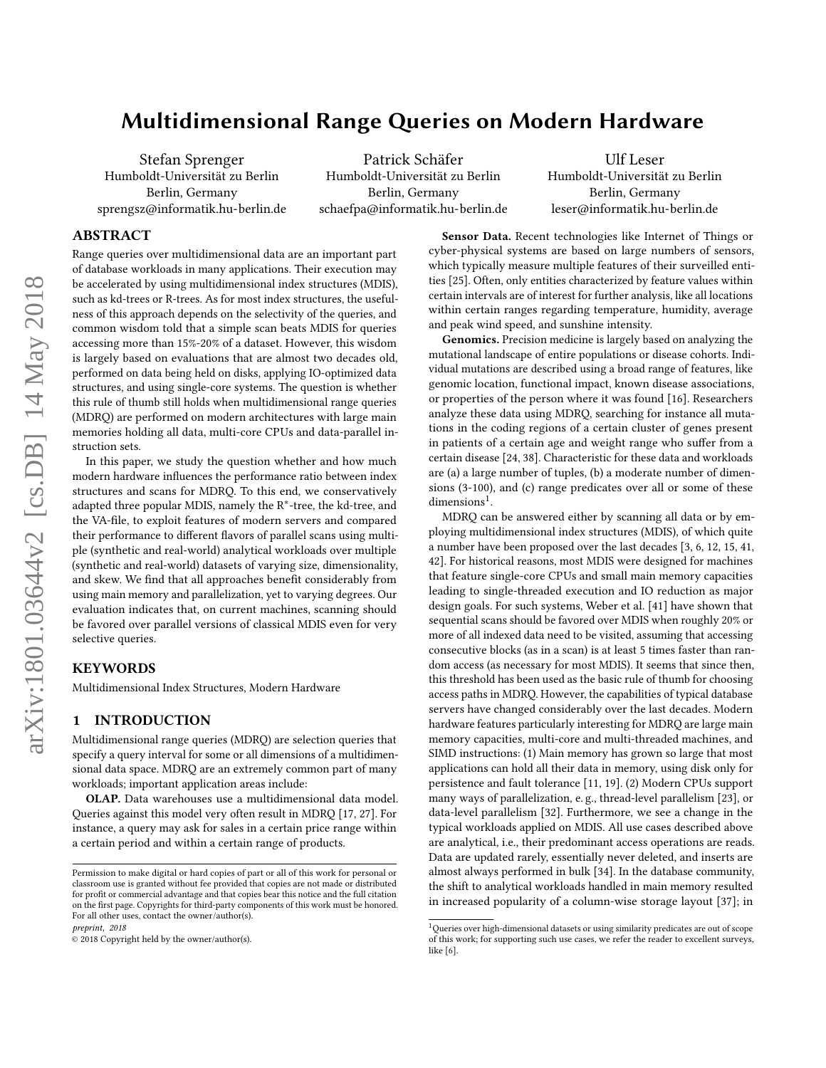Stefan Sprenger Humboldt-Universität zu Berlin Berlin, Germany sprengsz@informatik.hu-berlin.de

Patrick Schäfer Humboldt-Universität zu Berlin Berlin, Germany schaefpa@informatik.hu-berlin.de

Ulf Leser Humboldt-Universität zu Berlin Berlin, Germany leser@informatik.hu-berlin.de

# ABSTRACT

Range queries over multidimensional data are an important part of database workloads in many applications. Their execution may be accelerated by using multidimensional index structures (MDIS), such as kd-trees or R-trees. As for most index structures, the usefulness of this approach depends on the selectivity of the queries, and common wisdom told that a simple scan beats MDIS for queries accessing more than 15%-20% of a dataset. However, this wisdom is largely based on evaluations that are almost two decades old, performed on data being held on disks, applying IO-optimized data structures, and using single-core systems. The question is whether this rule of thumb still holds when multidimensional range queries (MDRQ) are performed on modern architectures with large main memories holding all data, multi-core CPUs and data-parallel instruction sets.

In this paper, we study the question whether and how much modern hardware influences the performance ratio between index structures and scans for MDRQ. To this end, we conservatively adapted three popular MDIS, namely the R∗ -tree, the kd-tree, and the VA-file, to exploit features of modern servers and compared their performance to different flavors of parallel scans using multiple (synthetic and real-world) analytical workloads over multiple (synthetic and real-world) datasets of varying size, dimensionality, and skew. We find that all approaches benefit considerably from using main memory and parallelization, yet to varying degrees. Our evaluation indicates that, on current machines, scanning should be favored over parallel versions of classical MDIS even for very selective queries.

### **KEYWORDS**

Multidimensional Index Structures, Modern Hardware

# 1 INTRODUCTION

Multidimensional range queries (MDRQ) are selection queries that specify a query interval for some or all dimensions of a multidimensional data space. MDRQ are an extremely common part of many workloads; important application areas include:

OLAP. Data warehouses use a multidimensional data model. Queries against this model very often result in MDRQ [17, 27]. For instance, a query may ask for sales in a certain price range within a certain period and within a certain range of products.

Sensor Data. Recent technologies like Internet of Things or cyber-physical systems are based on large numbers of sensors, which typically measure multiple features of their surveilled entities [25]. Often, only entities characterized by feature values within certain intervals are of interest for further analysis, like all locations within certain ranges regarding temperature, humidity, average and peak wind speed, and sunshine intensity.

Genomics. Precision medicine is largely based on analyzing the mutational landscape of entire populations or disease cohorts. Individual mutations are described using a broad range of features, like genomic location, functional impact, known disease associations, or properties of the person where it was found [16]. Researchers analyze these data using MDRQ, searching for instance all mutations in the coding regions of a certain cluster of genes present in patients of a certain age and weight range who suffer from a certain disease [24, 38]. Characteristic for these data and workloads are (a) a large number of tuples, (b) a moderate number of dimensions (3-100), and (c) range predicates over all or some of these dimensions<sup>1</sup>.

MDRQ can be answered either by scanning all data or by employing multidimensional index structures (MDIS), of which quite a number have been proposed over the last decades [3, 6, 12, 15, 41, 42]. For historical reasons, most MDIS were designed for machines that feature single-core CPUs and small main memory capacities leading to single-threaded execution and IO reduction as major design goals. For such systems, Weber et al. [41] have shown that sequential scans should be favored over MDIS when roughly 20% or more of all indexed data need to be visited, assuming that accessing consecutive blocks (as in a scan) is at least 5 times faster than random access (as necessary for most MDIS). It seems that since then, this threshold has been used as the basic rule of thumb for choosing access paths in MDRQ. However, the capabilities of typical database servers have changed considerably over the last decades. Modern hardware features particularly interesting for MDRQ are large main memory capacities, multi-core and multi-threaded machines, and SIMD instructions: (1) Main memory has grown so large that most applications can hold all their data in memory, using disk only for persistence and fault tolerance [11, 19]. (2) Modern CPUs support many ways of parallelization, e. g., thread-level parallelism [23], or data-level parallelism [32]. Furthermore, we see a change in the typical workloads applied on MDIS. All use cases described above are analytical, i.e., their predominant access operations are reads. Data are updated rarely, essentially never deleted, and inserts are almost always performed in bulk [34]. In the database community, the shift to analytical workloads handled in main memory resulted in increased popularity of a column-wise storage layout [37]; in

Permission to make digital or hard copies of part or all of this work for personal or classroom use is granted without fee provided that copies are not made or distributed for profit or commercial advantage and that copies bear this notice and the full citation on the first page. Copyrights for third-party components of this work must be honored. For all other uses, contact the owner/author(s).

preprint, 2018

<sup>©</sup> 2018 Copyright held by the owner/author(s).

 $^1\rm Q$ ueries over high-dimensional datasets or using similarity predicates are out of scope of this work; for supporting such use cases, we refer the reader to excellent surveys, like [6].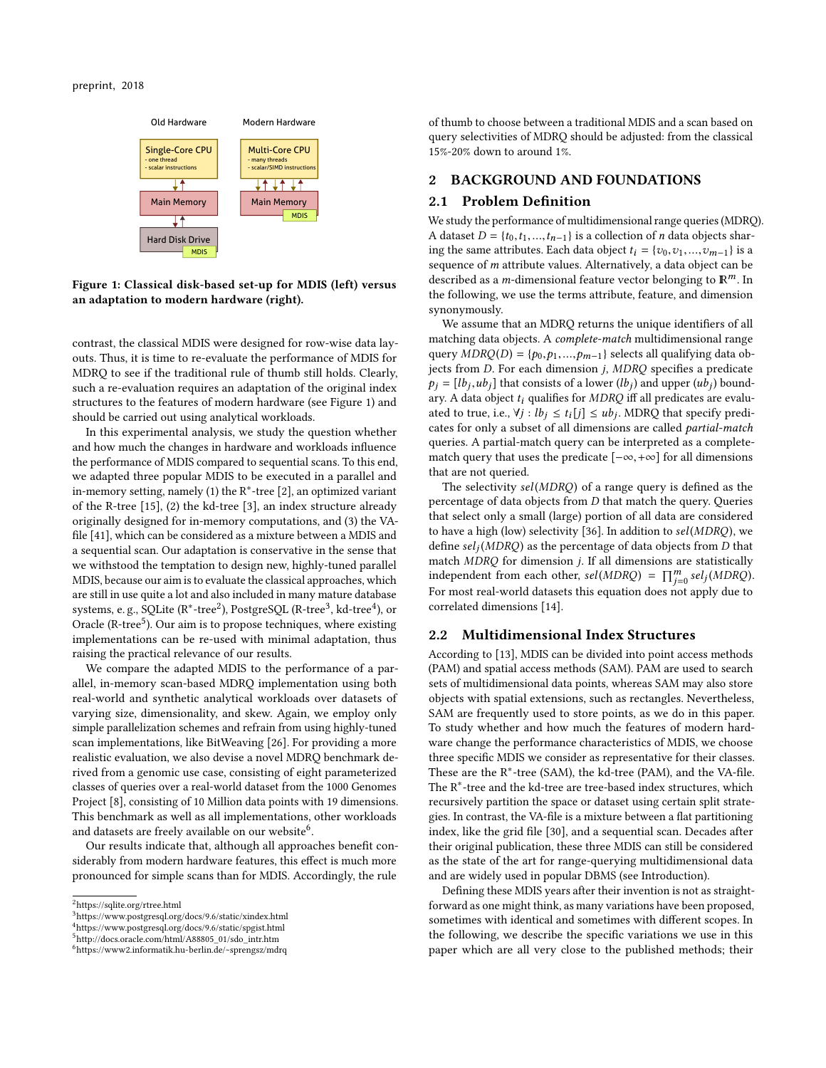

Figure 1: Classical disk-based set-up for MDIS (left) versus an adaptation to modern hardware (right).

contrast, the classical MDIS were designed for row-wise data layouts. Thus, it is time to re-evaluate the performance of MDIS for MDRQ to see if the traditional rule of thumb still holds. Clearly, such a re-evaluation requires an adaptation of the original index structures to the features of modern hardware (see Figure 1) and should be carried out using analytical workloads.

In this experimental analysis, we study the question whether and how much the changes in hardware and workloads influence the performance of MDIS compared to sequential scans. To this end, we adapted three popular MDIS to be executed in a parallel and in-memory setting, namely (1) the R∗ -tree [2], an optimized variant of the R-tree [15], (2) the kd-tree [3], an index structure already originally designed for in-memory computations, and (3) the VAfile [41], which can be considered as a mixture between a MDIS and a sequential scan. Our adaptation is conservative in the sense that we withstood the temptation to design new, highly-tuned parallel MDIS, because our aim is to evaluate the classical approaches, which are still in use quite a lot and also included in many mature database systems, e. g., SQLite (R<sup>\*</sup>-tree<sup>2</sup>), PostgreSQL (R-tree<sup>3</sup>, kd-tree<sup>4</sup>), or Oracle (R-tree<sup>5</sup>). Our aim is to propose techniques, where existing implementations can be re-used with minimal adaptation, thus raising the practical relevance of our results.

We compare the adapted MDIS to the performance of a parallel, in-memory scan-based MDRQ implementation using both real-world and synthetic analytical workloads over datasets of varying size, dimensionality, and skew. Again, we employ only simple parallelization schemes and refrain from using highly-tuned scan implementations, like BitWeaving [26]. For providing a more realistic evaluation, we also devise a novel MDRQ benchmark derived from a genomic use case, consisting of eight parameterized classes of queries over a real-world dataset from the 1000 Genomes Project [8], consisting of 10 Million data points with 19 dimensions. This benchmark as well as all implementations, other workloads and datasets are freely available on our website<sup>6</sup>.

Our results indicate that, although all approaches benefit considerably from modern hardware features, this effect is much more pronounced for simple scans than for MDIS. Accordingly, the rule

of thumb to choose between a traditional MDIS and a scan based on query selectivities of MDRQ should be adjusted: from the classical 15%-20% down to around 1%.

### 2 BACKGROUND AND FOUNDATIONS

#### 2.1 Problem Definition

We study the performance of multidimensional range queries (MDRQ). A dataset  $D = \{t_0, t_1, ..., t_{n-1}\}$  is a collection of *n* data objects sharing the same attributes. Each data object  $t_i = \{v_0, v_1, ..., v_{m-1}\}\$ is a sequence of m attribute values. Alternatively, a data object can be described as a *m*-dimensional feature vector belonging to  $\mathbb{R}^m$ . In the following, we use the terms attribute, feature, and dimension synonymously.

We assume that an MDRQ returns the unique identifiers of all matching data objects. A complete-match multidimensional range query  $MDRQ(D) = \{p_0, p_1, ..., p_{m-1}\}$  selects all qualifying data objects from D. For each dimension j, MDRQ specifies a predicate  $p_j = [lb_j, ub_j]$  that consists of a lower  $(lb_j)$  and upper  $(ub_j)$  boundary. A data object  $t_i$  qualifies for MDRQ iff all predicates are evaluated to true, i.e.,  $\forall j: lb_j \leq t_i[j] \leq ub_j$ . MDRQ that specify predicates for only a subset of all dimensions are called partial-match queries. A partial-match query can be interpreted as a completematch query that uses the predicate  $[-\infty, +\infty]$  for all dimensions that are not queried.

The selectivity sel(MDRQ) of a range query is defined as the percentage of data objects from D that match the query. Queries that select only a small (large) portion of all data are considered to have a high (low) selectivity [36]. In addition to sel(MDRQ), we define  $self_j(MDRQ)$  as the percentage of data objects from  $D$  that match MDRQ for dimension j. If all dimensions are statistically independent from each other,  $\text{sel}(MDRQ) = \prod_{j=0}^{m} \text{sel}_j(MDRQ)$ . For most real-world datasets this equation does not apply due to correlated dimensions [14].

## 2.2 Multidimensional Index Structures

According to [13], MDIS can be divided into point access methods (PAM) and spatial access methods (SAM). PAM are used to search sets of multidimensional data points, whereas SAM may also store objects with spatial extensions, such as rectangles. Nevertheless, SAM are frequently used to store points, as we do in this paper. To study whether and how much the features of modern hardware change the performance characteristics of MDIS, we choose three specific MDIS we consider as representative for their classes. These are the R∗ -tree (SAM), the kd-tree (PAM), and the VA-file. The R∗ -tree and the kd-tree are tree-based index structures, which recursively partition the space or dataset using certain split strategies. In contrast, the VA-file is a mixture between a flat partitioning index, like the grid file [30], and a sequential scan. Decades after their original publication, these three MDIS can still be considered as the state of the art for range-querying multidimensional data and are widely used in popular DBMS (see Introduction).

Defining these MDIS years after their invention is not as straightforward as one might think, as many variations have been proposed, sometimes with identical and sometimes with different scopes. In the following, we describe the specific variations we use in this paper which are all very close to the published methods; their

<sup>2</sup>https://sqlite.org/rtree.html

<sup>3</sup>https://www.postgresql.org/docs/9.6/static/xindex.html

<sup>4</sup>https://www.postgresql.org/docs/9.6/static/spgist.html

<sup>5</sup>http://docs.oracle.com/html/A88805\_01/sdo\_intr.htm

<sup>6</sup>https://www2.informatik.hu-berlin.de/~sprengsz/mdrq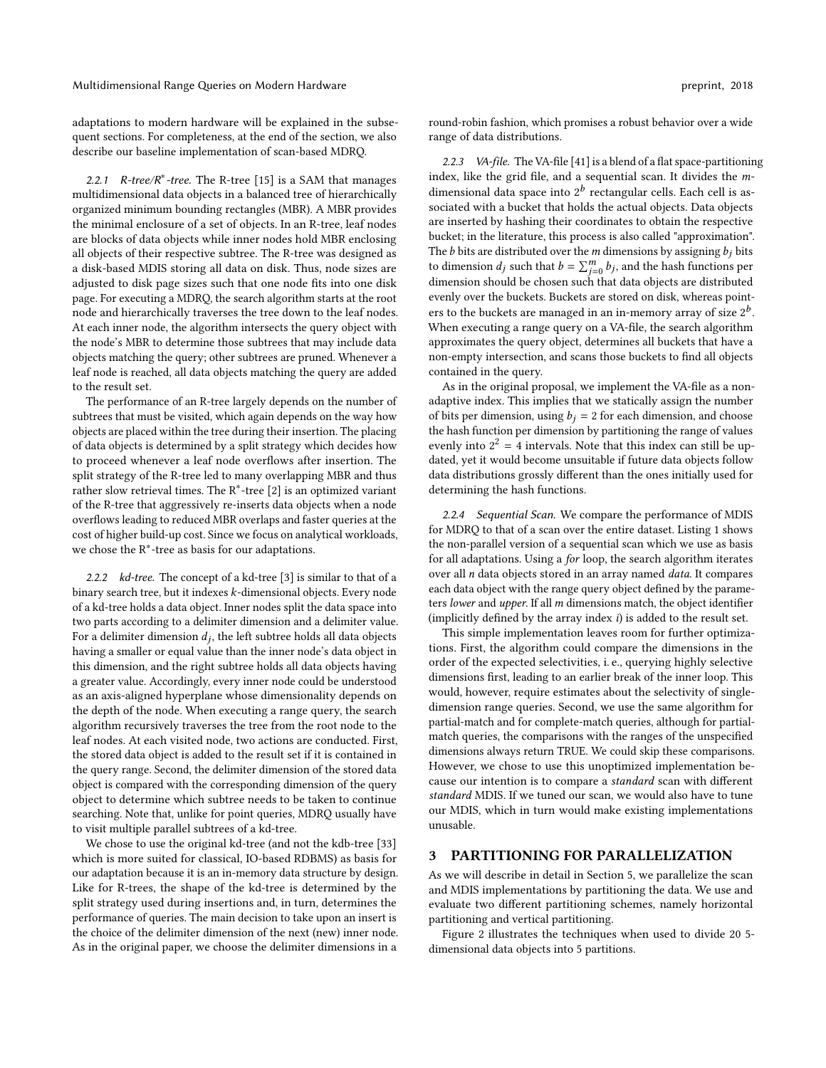adaptations to modern hardware will be explained in the subsequent sections. For completeness, at the end of the section, we also describe our baseline implementation of scan-based MDRQ.

2.2.1 R-tree/R<sup>\*</sup>-tree. The R-tree [15] is a SAM that manages multidimensional data objects in a balanced tree of hierarchically organized minimum bounding rectangles (MBR). A MBR provides the minimal enclosure of a set of objects. In an R-tree, leaf nodes are blocks of data objects while inner nodes hold MBR enclosing all objects of their respective subtree. The R-tree was designed as a disk-based MDIS storing all data on disk. Thus, node sizes are adjusted to disk page sizes such that one node fits into one disk page. For executing a MDRQ, the search algorithm starts at the root node and hierarchically traverses the tree down to the leaf nodes. At each inner node, the algorithm intersects the query object with the node's MBR to determine those subtrees that may include data objects matching the query; other subtrees are pruned. Whenever a leaf node is reached, all data objects matching the query are added to the result set.

The performance of an R-tree largely depends on the number of subtrees that must be visited, which again depends on the way how objects are placed within the tree during their insertion. The placing of data objects is determined by a split strategy which decides how to proceed whenever a leaf node overflows after insertion. The split strategy of the R-tree led to many overlapping MBR and thus rather slow retrieval times. The R∗ -tree [2] is an optimized variant of the R-tree that aggressively re-inserts data objects when a node overflows leading to reduced MBR overlaps and faster queries at the cost of higher build-up cost. Since we focus on analytical workloads, we chose the R∗ -tree as basis for our adaptations.

2.2.2 kd-tree. The concept of a kd-tree [3] is similar to that of a binary search tree, but it indexes k-dimensional objects. Every node of a kd-tree holds a data object. Inner nodes split the data space into two parts according to a delimiter dimension and a delimiter value. For a delimiter dimension  $d_j$ , the left subtree holds all data objects having a smaller or equal value than the inner node's data object in this dimension, and the right subtree holds all data objects having a greater value. Accordingly, every inner node could be understood as an axis-aligned hyperplane whose dimensionality depends on the depth of the node. When executing a range query, the search algorithm recursively traverses the tree from the root node to the leaf nodes. At each visited node, two actions are conducted. First, the stored data object is added to the result set if it is contained in the query range. Second, the delimiter dimension of the stored data object is compared with the corresponding dimension of the query object to determine which subtree needs to be taken to continue searching. Note that, unlike for point queries, MDRQ usually have to visit multiple parallel subtrees of a kd-tree.

We chose to use the original kd-tree (and not the kdb-tree [33] which is more suited for classical, IO-based RDBMS) as basis for our adaptation because it is an in-memory data structure by design. Like for R-trees, the shape of the kd-tree is determined by the split strategy used during insertions and, in turn, determines the performance of queries. The main decision to take upon an insert is the choice of the delimiter dimension of the next (new) inner node. As in the original paper, we choose the delimiter dimensions in a

round-robin fashion, which promises a robust behavior over a wide range of data distributions.

2.2.3 VA-file. The VA-file [41] is a blend of a flat space-partitioning index, like the grid file, and a sequential scan. It divides the mdimensional data space into  $2^b$  rectangular cells. Each cell is associated with a bucket that holds the actual objects. Data objects are inserted by hashing their coordinates to obtain the respective bucket; in the literature, this process is also called "approximation". The  $b$  bits are distributed over the  $m$  dimensions by assigning  $b_j$  bits to dimension  $d_j$  such that  $b = \sum_{j=0}^{m} b_j$ , and the hash functions per dimension should be chosen such that data objects are distributed evenly over the buckets. Buckets are stored on disk, whereas pointers to the buckets are managed in an in-memory array of size  $2^b$ . When executing a range query on a VA-file, the search algorithm approximates the query object, determines all buckets that have a non-empty intersection, and scans those buckets to find all objects contained in the query.

As in the original proposal, we implement the VA-file as a nonadaptive index. This implies that we statically assign the number of bits per dimension, using  $b_i = 2$  for each dimension, and choose the hash function per dimension by partitioning the range of values evenly into  $2^2 = 4$  intervals. Note that this index can still be updated, yet it would become unsuitable if future data objects follow data distributions grossly different than the ones initially used for determining the hash functions.

2.2.4 Sequential Scan. We compare the performance of MDIS for MDRQ to that of a scan over the entire dataset. Listing 1 shows the non-parallel version of a sequential scan which we use as basis for all adaptations. Using a for loop, the search algorithm iterates over all n data objects stored in an array named data. It compares each data object with the range query object defined by the parameters lower and upper. If all m dimensions match, the object identifier (implicitly defined by the array index i) is added to the result set.

This simple implementation leaves room for further optimizations. First, the algorithm could compare the dimensions in the order of the expected selectivities, i. e., querying highly selective dimensions first, leading to an earlier break of the inner loop. This would, however, require estimates about the selectivity of singledimension range queries. Second, we use the same algorithm for partial-match and for complete-match queries, although for partialmatch queries, the comparisons with the ranges of the unspecified dimensions always return TRUE. We could skip these comparisons. However, we chose to use this unoptimized implementation because our intention is to compare a standard scan with different standard MDIS. If we tuned our scan, we would also have to tune our MDIS, which in turn would make existing implementations unusable.

# 3 PARTITIONING FOR PARALLELIZATION

As we will describe in detail in Section 5, we parallelize the scan and MDIS implementations by partitioning the data. We use and evaluate two different partitioning schemes, namely horizontal partitioning and vertical partitioning.

Figure 2 illustrates the techniques when used to divide 20 5 dimensional data objects into 5 partitions.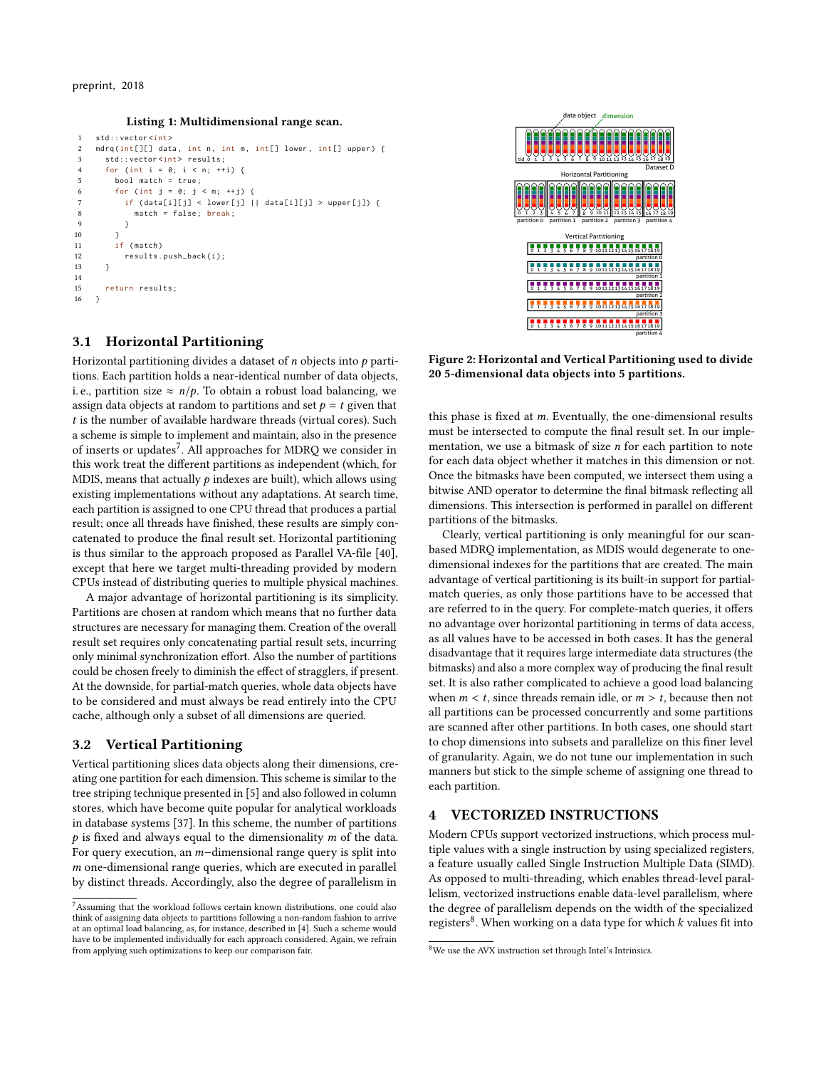Listing 1: Multidimensional range scan.

```
1 std:: vector<int>
2 mdrq(int[][] data, int n, int m, int[] lower, int[] upper) {
3 std:: vector <int> results;
4 for (int i = 0; i < n; ++i) {
5 bool match = true ;
6 for (int j = 0; j < m; ++j) {
         if (data[i][j] < lower[j] || data[i][j] > upper[j]) {
8 match = false; break;
9 }
1011 if ( match )
12 results . push_back(i);
13 }
14
15 return results ;
16 }
```
# 3.1 Horizontal Partitioning

Horizontal partitioning divides a dataset of  $n$  objects into  $p$  partitions. Each partition holds a near-identical number of data objects, i. e., partition size  $\approx n/p$ . To obtain a robust load balancing, we assign data objects at random to partitions and set  $p = t$  given that t is the number of available hardware threads (virtual cores). Such a scheme is simple to implement and maintain, also in the presence of inserts or updates<sup>7</sup>. All approaches for MDRQ we consider in this work treat the different partitions as independent (which, for MDIS, means that actually  $p$  indexes are built), which allows using existing implementations without any adaptations. At search time, each partition is assigned to one CPU thread that produces a partial result; once all threads have finished, these results are simply concatenated to produce the final result set. Horizontal partitioning is thus similar to the approach proposed as Parallel VA-file [40], except that here we target multi-threading provided by modern CPUs instead of distributing queries to multiple physical machines.

A major advantage of horizontal partitioning is its simplicity. Partitions are chosen at random which means that no further data structures are necessary for managing them. Creation of the overall result set requires only concatenating partial result sets, incurring only minimal synchronization effort. Also the number of partitions could be chosen freely to diminish the effect of stragglers, if present. At the downside, for partial-match queries, whole data objects have to be considered and must always be read entirely into the CPU cache, although only a subset of all dimensions are queried.

# 3.2 Vertical Partitioning

Vertical partitioning slices data objects along their dimensions, creating one partition for each dimension. This scheme is similar to the tree striping technique presented in [5] and also followed in column stores, which have become quite popular for analytical workloads in database systems [37]. In this scheme, the number of partitions  $p$  is fixed and always equal to the dimensionality  $m$  of the data. For query execution, an m−dimensional range query is split into m one-dimensional range queries, which are executed in parallel by distinct threads. Accordingly, also the degree of parallelism in



Figure 2: Horizontal and Vertical Partitioning used to divide 20 5-dimensional data objects into 5 partitions.

this phase is fixed at  $m$ . Eventually, the one-dimensional results must be intersected to compute the final result set. In our implementation, we use a bitmask of size  $n$  for each partition to note for each data object whether it matches in this dimension or not. Once the bitmasks have been computed, we intersect them using a bitwise AND operator to determine the final bitmask reflecting all dimensions. This intersection is performed in parallel on different partitions of the bitmasks.

Clearly, vertical partitioning is only meaningful for our scanbased MDRQ implementation, as MDIS would degenerate to onedimensional indexes for the partitions that are created. The main advantage of vertical partitioning is its built-in support for partialmatch queries, as only those partitions have to be accessed that are referred to in the query. For complete-match queries, it offers no advantage over horizontal partitioning in terms of data access, as all values have to be accessed in both cases. It has the general disadvantage that it requires large intermediate data structures (the bitmasks) and also a more complex way of producing the final result set. It is also rather complicated to achieve a good load balancing when  $m < t$ , since threads remain idle, or  $m > t$ , because then not all partitions can be processed concurrently and some partitions are scanned after other partitions. In both cases, one should start to chop dimensions into subsets and parallelize on this finer level of granularity. Again, we do not tune our implementation in such manners but stick to the simple scheme of assigning one thread to each partition.

# 4 VECTORIZED INSTRUCTIONS

Modern CPUs support vectorized instructions, which process multiple values with a single instruction by using specialized registers, a feature usually called Single Instruction Multiple Data (SIMD). As opposed to multi-threading, which enables thread-level parallelism, vectorized instructions enable data-level parallelism, where the degree of parallelism depends on the width of the specialized registers<sup>8</sup>. When working on a data type for which  $k$  values fit into

<sup>7</sup>Assuming that the workload follows certain known distributions, one could also think of assigning data objects to partitions following a non-random fashion to arrive at an optimal load balancing, as, for instance, described in [4]. Such a scheme would have to be implemented individually for each approach considered. Again, we refrain from applying such optimizations to keep our comparison fair.

<sup>8</sup>We use the AVX instruction set through Intel's Intrinsics.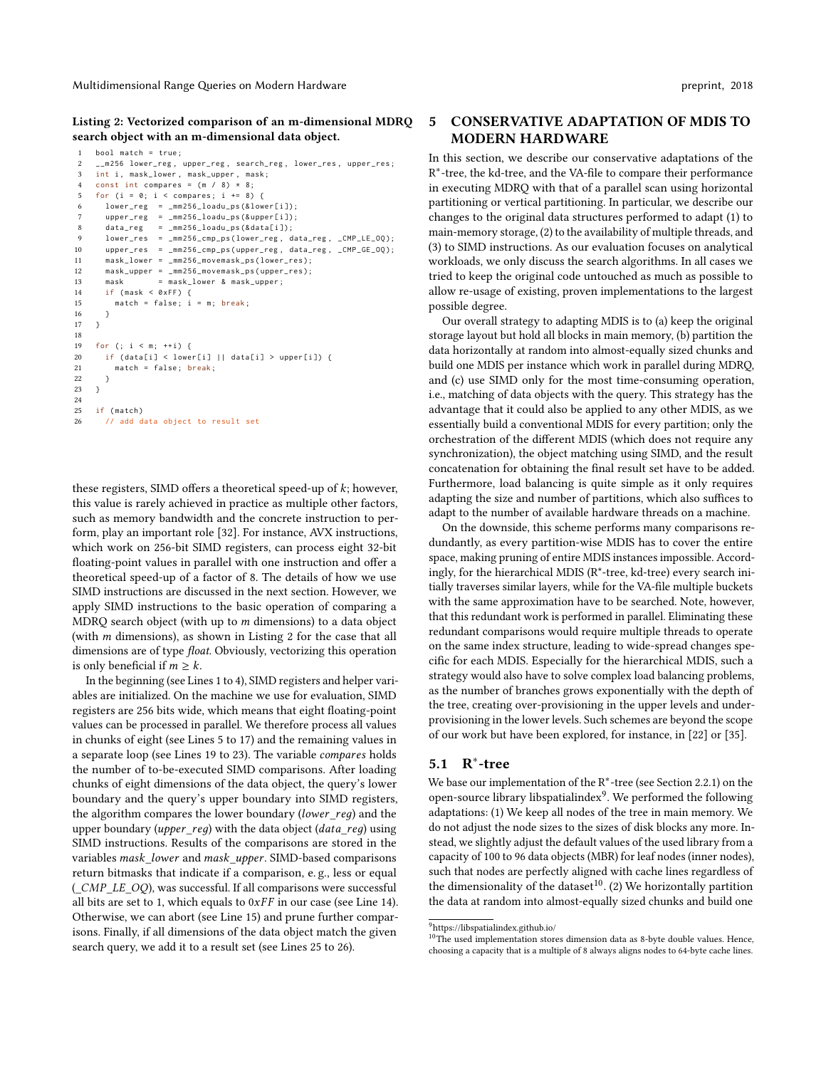Listing 2: Vectorized comparison of an m-dimensional MDRQ search object with an m-dimensional data object.

```
bool match = true;
     \texttt{__m256} lower_reg, upper_reg, search_reg, lower_res, upper_res;
     int i, mask_lower, mask_upper, mask;
4 const int compares = (m / 8) * 8;
     for (i = 0; i < compares; i += 8) {
       lower_reg = _mm256_loadu_ps (&lower[i]);<br>upper_reg = _mm256_loadu_ps (&upper[i]);
       upper\_reg = mm256\_loadu\_ps (& upper [i]);<br>data reg = mm256 loadu ps (& data [i]):
8 data_reg = _mm256_loadu_ps (& data[i]);
       lower\_res = _mm256_cmp_ps (lower_reg, data_reg, _CMP_LE_OQ);
10 upper_res = _mm256_cmp_ps ( upper_reg , data_reg , _CMP_GE_OQ );
11 mask_lower = _mm256_movemask_ps ( lower_res );
12 mask_upper = _mm256_movemask_ps (upper_res);<br>13 mask = mask lower & mask upper:
       mask = mask lower & mask upper;
14 if (mask < 0xFF) {<br>15 match = false: i
         match = false; i = m; break;16 }
17 }
18
19 for (; i \le m; ++i) {
20 if (data[i] < lower[i] || data[i] > upper[i]) {
21 match = false; break;
22 }
23 }
24
25 if ( match )
26 // add data object to result set
```
these registers, SIMD offers a theoretical speed-up of  $k$ ; however, this value is rarely achieved in practice as multiple other factors, such as memory bandwidth and the concrete instruction to perform, play an important role [32]. For instance, AVX instructions, which work on 256-bit SIMD registers, can process eight 32-bit floating-point values in parallel with one instruction and offer a theoretical speed-up of a factor of 8. The details of how we use SIMD instructions are discussed in the next section. However, we apply SIMD instructions to the basic operation of comparing a MDRQ search object (with up to m dimensions) to a data object (with m dimensions), as shown in Listing 2 for the case that all dimensions are of type float. Obviously, vectorizing this operation is only beneficial if  $m \geq k$ .

In the beginning (see Lines 1 to 4), SIMD registers and helper variables are initialized. On the machine we use for evaluation, SIMD registers are 256 bits wide, which means that eight floating-point values can be processed in parallel. We therefore process all values in chunks of eight (see Lines 5 to 17) and the remaining values in a separate loop (see Lines 19 to 23). The variable compares holds the number of to-be-executed SIMD comparisons. After loading chunks of eight dimensions of the data object, the query's lower boundary and the query's upper boundary into SIMD registers, the algorithm compares the lower boundary (lower\_reд) and the upper boundary (upper\_reg) with the data object (data\_reg) using SIMD instructions. Results of the comparisons are stored in the variables mask\_lower and mask\_upper. SIMD-based comparisons return bitmasks that indicate if a comparison, e. g., less or equal (\_CMP\_LE\_OQ), was successful. If all comparisons were successful all bits are set to 1, which equals to  $0xFF$  in our case (see Line 14). Otherwise, we can abort (see Line 15) and prune further comparisons. Finally, if all dimensions of the data object match the given search query, we add it to a result set (see Lines 25 to 26).

# 5 CONSERVATIVE ADAPTATION OF MDIS TO MODERN HARDWARE

In this section, we describe our conservative adaptations of the R ∗ -tree, the kd-tree, and the VA-file to compare their performance in executing MDRQ with that of a parallel scan using horizontal partitioning or vertical partitioning. In particular, we describe our changes to the original data structures performed to adapt (1) to main-memory storage, (2) to the availability of multiple threads, and (3) to SIMD instructions. As our evaluation focuses on analytical workloads, we only discuss the search algorithms. In all cases we tried to keep the original code untouched as much as possible to allow re-usage of existing, proven implementations to the largest possible degree.

Our overall strategy to adapting MDIS is to (a) keep the original storage layout but hold all blocks in main memory, (b) partition the data horizontally at random into almost-equally sized chunks and build one MDIS per instance which work in parallel during MDRQ, and (c) use SIMD only for the most time-consuming operation, i.e., matching of data objects with the query. This strategy has the advantage that it could also be applied to any other MDIS, as we essentially build a conventional MDIS for every partition; only the orchestration of the different MDIS (which does not require any synchronization), the object matching using SIMD, and the result concatenation for obtaining the final result set have to be added. Furthermore, load balancing is quite simple as it only requires adapting the size and number of partitions, which also suffices to adapt to the number of available hardware threads on a machine.

On the downside, this scheme performs many comparisons redundantly, as every partition-wise MDIS has to cover the entire space, making pruning of entire MDIS instances impossible. Accordingly, for the hierarchical MDIS (R\*-tree, kd-tree) every search initially traverses similar layers, while for the VA-file multiple buckets with the same approximation have to be searched. Note, however, that this redundant work is performed in parallel. Eliminating these redundant comparisons would require multiple threads to operate on the same index structure, leading to wide-spread changes specific for each MDIS. Especially for the hierarchical MDIS, such a strategy would also have to solve complex load balancing problems, as the number of branches grows exponentially with the depth of the tree, creating over-provisioning in the upper levels and underprovisioning in the lower levels. Such schemes are beyond the scope of our work but have been explored, for instance, in [22] or [35].

# 5.1 R∗ -tree

We base our implementation of the  $R^*$ -tree (see Section 2.2.1) on the open-source library libspatialindex<sup>9</sup>. We performed the following adaptations: (1) We keep all nodes of the tree in main memory. We do not adjust the node sizes to the sizes of disk blocks any more. Instead, we slightly adjust the default values of the used library from a capacity of 100 to 96 data objects (MBR) for leaf nodes (inner nodes), such that nodes are perfectly aligned with cache lines regardless of the dimensionality of the dataset<sup>10</sup>. (2) We horizontally partition the data at random into almost-equally sized chunks and build one

<sup>10</sup>The used implementation stores dimension data as 8-byte double values. Hence, choosing a capacity that is a multiple of 8 always aligns nodes to 64-byte cache lines.

<sup>9</sup>https://libspatialindex.github.io/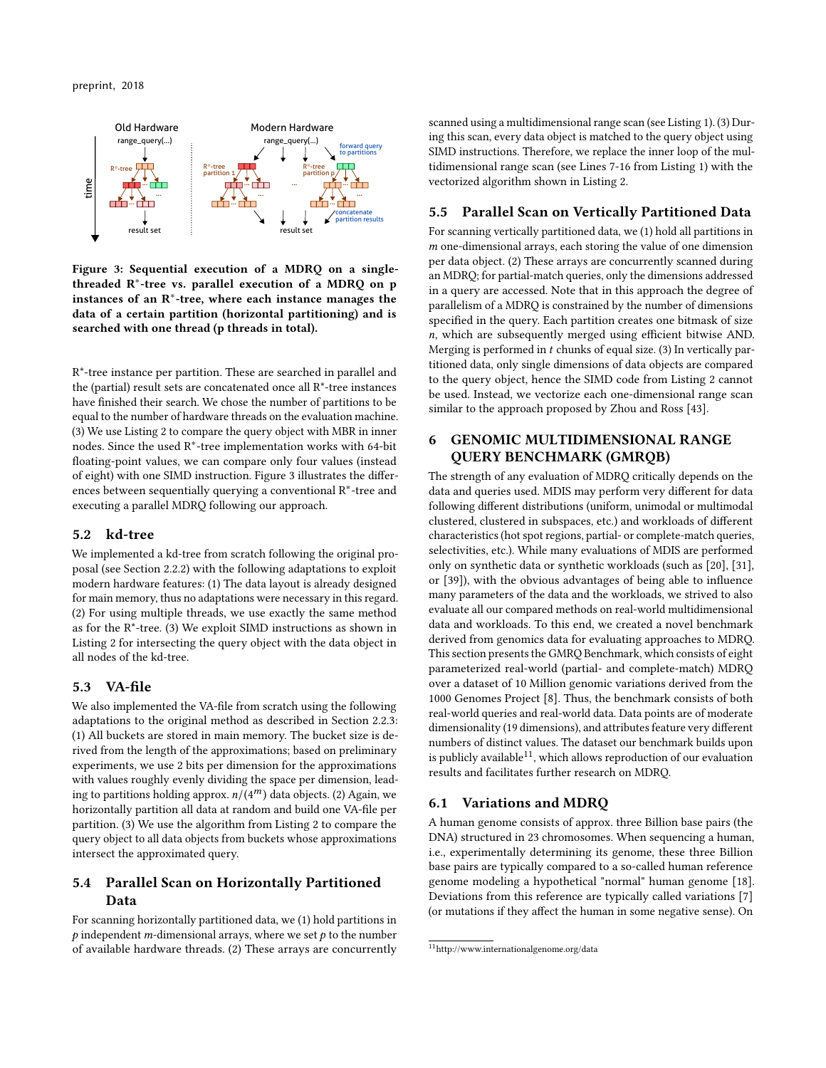

Figure 3: Sequential execution of a MDRQ on a singlethreaded R∗ -tree vs. parallel execution of a MDRQ on p instances of an R∗ -tree, where each instance manages the data of a certain partition (horizontal partitioning) and is searched with one thread (p threads in total).

R\*-tree instance per partition. These are searched in parallel and the (partial) result sets are concatenated once all R\*-tree instances have finished their search. We chose the number of partitions to be equal to the number of hardware threads on the evaluation machine. (3) We use Listing 2 to compare the query object with MBR in inner nodes. Since the used R∗ -tree implementation works with 64-bit floating-point values, we can compare only four values (instead of eight) with one SIMD instruction. Figure 3 illustrates the differences between sequentially querying a conventional R<sup>∗</sup>-tree and executing a parallel MDRQ following our approach.

# 5.2 kd-tree

We implemented a kd-tree from scratch following the original proposal (see Section 2.2.2) with the following adaptations to exploit modern hardware features: (1) The data layout is already designed for main memory, thus no adaptations were necessary in this regard. (2) For using multiple threads, we use exactly the same method as for the R\*-tree. (3) We exploit SIMD instructions as shown in Listing 2 for intersecting the query object with the data object in all nodes of the kd-tree.

# 5.3 VA-file

We also implemented the VA-file from scratch using the following adaptations to the original method as described in Section 2.2.3: (1) All buckets are stored in main memory. The bucket size is derived from the length of the approximations; based on preliminary experiments, we use 2 bits per dimension for the approximations with values roughly evenly dividing the space per dimension, leading to partitions holding approx.  $n/(4^m)$  data objects. (2) Again, we horizontally partition all data at random and build one VA-file per partition. (3) We use the algorithm from Listing 2 to compare the query object to all data objects from buckets whose approximations intersect the approximated query.

# 5.4 Parallel Scan on Horizontally Partitioned Data

For scanning horizontally partitioned data, we (1) hold partitions in  $p$  independent m-dimensional arrays, where we set  $p$  to the number of available hardware threads. (2) These arrays are concurrently

scanned using a multidimensional range scan (see Listing 1). (3) During this scan, every data object is matched to the query object using SIMD instructions. Therefore, we replace the inner loop of the multidimensional range scan (see Lines 7-16 from Listing 1) with the vectorized algorithm shown in Listing 2.

### 5.5 Parallel Scan on Vertically Partitioned Data

For scanning vertically partitioned data, we (1) hold all partitions in m one-dimensional arrays, each storing the value of one dimension per data object. (2) These arrays are concurrently scanned during an MDRQ; for partial-match queries, only the dimensions addressed in a query are accessed. Note that in this approach the degree of parallelism of a MDRQ is constrained by the number of dimensions specified in the query. Each partition creates one bitmask of size n, which are subsequently merged using efficient bitwise AND. Merging is performed in  $t$  chunks of equal size. (3) In vertically partitioned data, only single dimensions of data objects are compared to the query object, hence the SIMD code from Listing 2 cannot be used. Instead, we vectorize each one-dimensional range scan similar to the approach proposed by Zhou and Ross [43].

# 6 GENOMIC MULTIDIMENSIONAL RANGE QUERY BENCHMARK (GMRQB)

The strength of any evaluation of MDRQ critically depends on the data and queries used. MDIS may perform very different for data following different distributions (uniform, unimodal or multimodal clustered, clustered in subspaces, etc.) and workloads of different characteristics (hot spot regions, partial- or complete-match queries, selectivities, etc.). While many evaluations of MDIS are performed only on synthetic data or synthetic workloads (such as [20], [31], or [39]), with the obvious advantages of being able to influence many parameters of the data and the workloads, we strived to also evaluate all our compared methods on real-world multidimensional data and workloads. To this end, we created a novel benchmark derived from genomics data for evaluating approaches to MDRQ. This section presents the GMRQ Benchmark, which consists of eight parameterized real-world (partial- and complete-match) MDRQ over a dataset of 10 Million genomic variations derived from the 1000 Genomes Project [8]. Thus, the benchmark consists of both real-world queries and real-world data. Data points are of moderate dimensionality (19 dimensions), and attributes feature very different numbers of distinct values. The dataset our benchmark builds upon is publicly available<sup>11</sup>, which allows reproduction of our evaluation results and facilitates further research on MDRQ.

#### 6.1 Variations and MDRQ

A human genome consists of approx. three Billion base pairs (the DNA) structured in 23 chromosomes. When sequencing a human, i.e., experimentally determining its genome, these three Billion base pairs are typically compared to a so-called human reference genome modeling a hypothetical "normal" human genome [18]. Deviations from this reference are typically called variations [7] (or mutations if they affect the human in some negative sense). On

 $\overline{^{11}}$ http://www.internationalgenome.org/data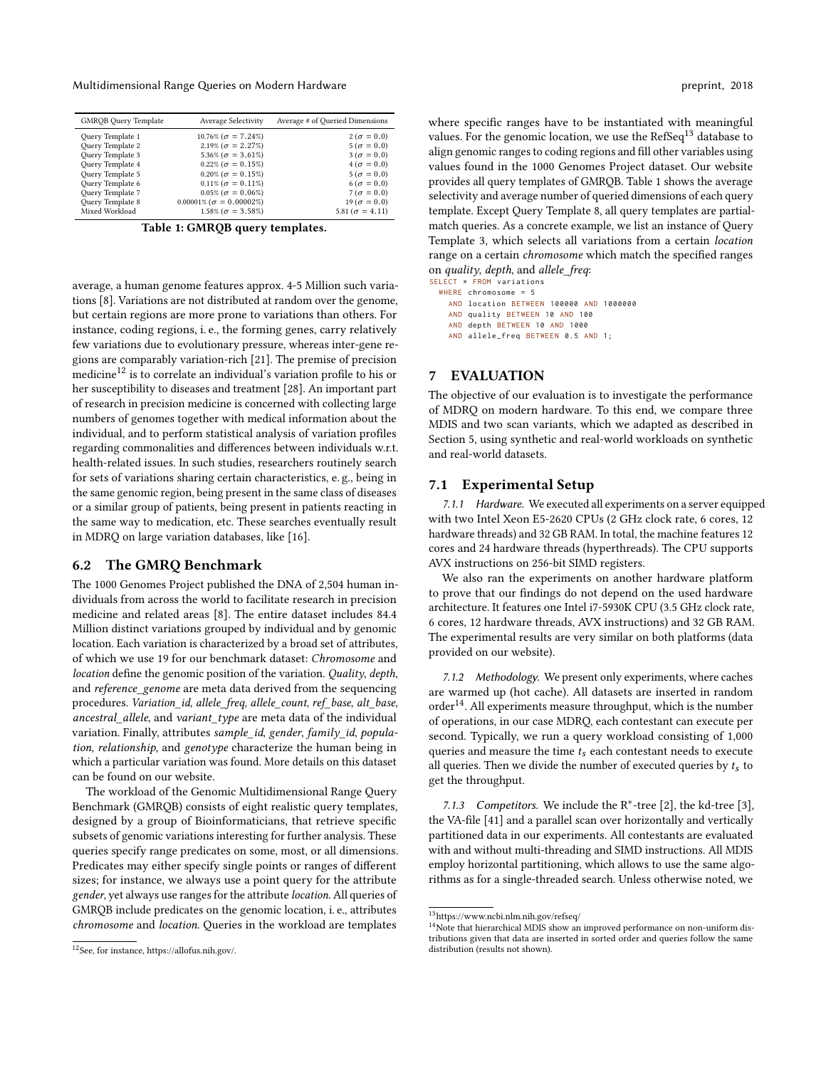| <b>GMRQB Query Template</b> | Average Selectivity                  | Average # of Queried Dimensions |  |
|-----------------------------|--------------------------------------|---------------------------------|--|
| Query Template 1            | $10.76\%$ ( $\sigma = 7.24\%$ )      | $2(\sigma = 0.0)$               |  |
| Ouery Template 2            | 2.19% ( $\sigma = 2.27\%$ )          | $5(\sigma = 0.0)$               |  |
| Ouery Template 3            | 5.36% ( $\sigma = 3.61\%$ )          | $3(\sigma = 0.0)$               |  |
| Ouery Template 4            | $0.22\%$ ( $\sigma = 0.15\%$ )       | $4(\sigma = 0.0)$               |  |
| Query Template 5            | $0.20\%$ ( $\sigma = 0.15\%$ )       | $5(\sigma = 0.0)$               |  |
| Ouery Template 6            | $0.11\%$ ( $\sigma = 0.11\%$ )       | $6(\sigma = 0.0)$               |  |
| Ouery Template 7            | $0.05\%$ ( $\sigma = 0.06\%$ )       | $7(\sigma = 0.0)$               |  |
| Ouery Template 8            | $0.00001\%$ ( $\sigma = 0.00002\%$ ) | $19 (\sigma = 0.0)$             |  |
| Mixed Workload              | $1.58\% (\sigma = 3.58\%)$           | 5.81 ( $\sigma = 4.11$ )        |  |

Table 1: GMRQB query templates.

average, a human genome features approx. 4-5 Million such variations [8]. Variations are not distributed at random over the genome, but certain regions are more prone to variations than others. For instance, coding regions, i. e., the forming genes, carry relatively few variations due to evolutionary pressure, whereas inter-gene regions are comparably variation-rich [21]. The premise of precision medicine<sup>12</sup> is to correlate an individual's variation profile to his or her susceptibility to diseases and treatment [28]. An important part of research in precision medicine is concerned with collecting large numbers of genomes together with medical information about the individual, and to perform statistical analysis of variation profiles regarding commonalities and differences between individuals w.r.t. health-related issues. In such studies, researchers routinely search for sets of variations sharing certain characteristics, e. g., being in the same genomic region, being present in the same class of diseases or a similar group of patients, being present in patients reacting in the same way to medication, etc. These searches eventually result in MDRQ on large variation databases, like [16].

### 6.2 The GMRQ Benchmark

The 1000 Genomes Project published the DNA of 2,504 human individuals from across the world to facilitate research in precision medicine and related areas [8]. The entire dataset includes 84.4 Million distinct variations grouped by individual and by genomic location. Each variation is characterized by a broad set of attributes, of which we use 19 for our benchmark dataset: Chromosome and location define the genomic position of the variation. Quality, depth, and reference\_genome are meta data derived from the sequencing procedures. Variation\_id, allele\_freq, allele\_count, ref\_base, alt\_base, ancestral\_allele, and variant\_type are meta data of the individual variation. Finally, attributes sample\_id, gender, family\_id, population, relationship, and genotype characterize the human being in which a particular variation was found. More details on this dataset can be found on our website.

The workload of the Genomic Multidimensional Range Query Benchmark (GMRQB) consists of eight realistic query templates, designed by a group of Bioinformaticians, that retrieve specific subsets of genomic variations interesting for further analysis. These queries specify range predicates on some, most, or all dimensions. Predicates may either specify single points or ranges of different sizes; for instance, we always use a point query for the attribute gender, yet always use ranges for the attribute location. All queries of GMRQB include predicates on the genomic location, i. e., attributes chromosome and location. Queries in the workload are templates

where specific ranges have to be instantiated with meaningful values. For the genomic location, we use the  $RefSeq<sup>13</sup>$  database to align genomic ranges to coding regions and fill other variables using values found in the 1000 Genomes Project dataset. Our website provides all query templates of GMRQB. Table 1 shows the average selectivity and average number of queried dimensions of each query template. Except Query Template 8, all query templates are partialmatch queries. As a concrete example, we list an instance of Query Template 3, which selects all variations from a certain location range on a certain chromosome which match the specified ranges on *quality*, *depth*, and *allele* freq:

SELECT \* FROM variations WHERE chromosome = 5 AND location BETWEEN 100000 AND 1000000 AND quality BETWEEN 10 AND 100 AND depth BETWEEN 10 AND 1000 AND allele\_freq BETWEEN 0.5 AND 1;

### 7 EVALUATION

The objective of our evaluation is to investigate the performance of MDRQ on modern hardware. To this end, we compare three MDIS and two scan variants, which we adapted as described in Section 5, using synthetic and real-world workloads on synthetic and real-world datasets.

### 7.1 Experimental Setup

7.1.1 Hardware. We executed all experiments on a server equipped with two Intel Xeon E5-2620 CPUs (2 GHz clock rate, 6 cores, 12 hardware threads) and 32 GB RAM. In total, the machine features 12 cores and 24 hardware threads (hyperthreads). The CPU supports AVX instructions on 256-bit SIMD registers.

We also ran the experiments on another hardware platform to prove that our findings do not depend on the used hardware architecture. It features one Intel i7-5930K CPU (3.5 GHz clock rate, 6 cores, 12 hardware threads, AVX instructions) and 32 GB RAM. The experimental results are very similar on both platforms (data provided on our website).

7.1.2 Methodology. We present only experiments, where caches are warmed up (hot cache). All datasets are inserted in random  $order<sup>14</sup>$ . All experiments measure throughput, which is the number of operations, in our case MDRQ, each contestant can execute per second. Typically, we run a query workload consisting of 1,000 queries and measure the time  $t_s$  each contestant needs to execute all queries. Then we divide the number of executed queries by  $t<sub>s</sub>$  to get the throughput.

7.1.3 Competitors. We include the R∗ -tree [2], the kd-tree [3], the VA-file [41] and a parallel scan over horizontally and vertically partitioned data in our experiments. All contestants are evaluated with and without multi-threading and SIMD instructions. All MDIS employ horizontal partitioning, which allows to use the same algorithms as for a single-threaded search. Unless otherwise noted, we

<sup>12</sup>See, for instance, https://allofus.nih.gov/.

<sup>13</sup>https://www.ncbi.nlm.nih.gov/refseq/

<sup>&</sup>lt;sup>14</sup>Note that hierarchical MDIS show an improved performance on non-uniform distributions given that data are inserted in sorted order and queries follow the same distribution (results not shown).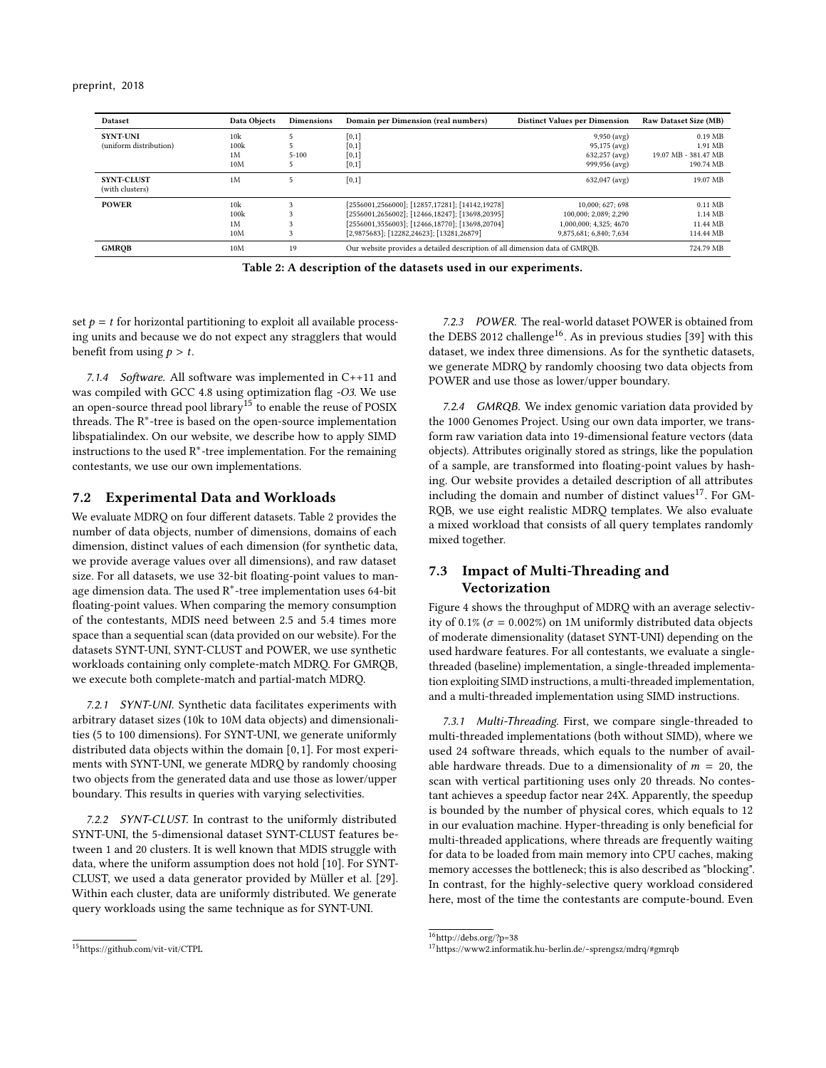| <b>Dataset</b>                       | Data Obiects    | <b>Dimensions</b> | Domain per Dimension (real numbers)                                         | <b>Distinct Values per Dimension</b> | <b>Raw Dataset Size (MB)</b> |
|--------------------------------------|-----------------|-------------------|-----------------------------------------------------------------------------|--------------------------------------|------------------------------|
| <b>SYNT-UNI</b>                      | 10 <sub>k</sub> |                   | [0,1]                                                                       | $9,950 \text{ (avg)}$                | 0.19 MB                      |
| (uniform distribution)               | 100k            |                   | [0,1]                                                                       | 95,175 (avg)                         | 1.91 MB                      |
|                                      | 1 <sub>M</sub>  | $5 - 100$         | [0,1]                                                                       | 632,257 (avg)                        | 19.07 MB - 381.47 MB         |
|                                      | 10M             |                   | [0,1]                                                                       | 999,956 (avg)                        | 190.74 MB                    |
| <b>SYNT-CLUST</b><br>(with clusters) | 1 <sub>M</sub>  |                   | [0,1]                                                                       | 632,047 (avg)                        | 19.07 MB                     |
| <b>POWER</b>                         | 10k             |                   | [2556001,2566000]; [12857,17281]; [14142,19278]                             | 10.000: 627: 698                     | $0.11$ MB                    |
|                                      | 100k            |                   | [2556001,2656002]; [12466,18247]; [13698,20395]                             | 100,000; 2,089; 2,290                | 1.14 MB                      |
|                                      | 1 <sub>M</sub>  |                   | [2556001,3556003]; [12466,18770]; [13698,20704]                             | 1.000.000: 4.325: 4670               | 11.44 MB                     |
|                                      | 10M             |                   | [2,9875683]; [12282,24623]; [13281,26879]                                   | 9,875,681; 6,840; 7,634              | 114.44 MB                    |
| <b>GMROB</b>                         | 10M             | 19                | Our website provides a detailed description of all dimension data of GMROB. |                                      | 724.79 MB                    |
|                                      |                 |                   |                                                                             |                                      |                              |

Table 2: A description of the datasets used in our experiments.

set  $p = t$  for horizontal partitioning to exploit all available processing units and because we do not expect any stragglers that would benefit from using  $p > t$ .

7.1.4 Software. All software was implemented in C++11 and was compiled with GCC 4.8 using optimization flag -O3. We use an open-source thread pool library<sup>15</sup> to enable the reuse of POSIX threads. The R∗ -tree is based on the open-source implementation libspatialindex. On our website, we describe how to apply SIMD instructions to the used R∗ -tree implementation. For the remaining contestants, we use our own implementations.

### 7.2 Experimental Data and Workloads

We evaluate MDRQ on four different datasets. Table 2 provides the number of data objects, number of dimensions, domains of each dimension, distinct values of each dimension (for synthetic data, we provide average values over all dimensions), and raw dataset size. For all datasets, we use 32-bit floating-point values to manage dimension data. The used R∗ -tree implementation uses 64-bit floating-point values. When comparing the memory consumption of the contestants, MDIS need between 2.5 and 5.4 times more space than a sequential scan (data provided on our website). For the datasets SYNT-UNI, SYNT-CLUST and POWER, we use synthetic workloads containing only complete-match MDRQ. For GMRQB, we execute both complete-match and partial-match MDRQ.

7.2.1 SYNT-UNI. Synthetic data facilitates experiments with arbitrary dataset sizes (10k to 10M data objects) and dimensionalities (5 to 100 dimensions). For SYNT-UNI, we generate uniformly distributed data objects within the domain [0,1]. For most experiments with SYNT-UNI, we generate MDRQ by randomly choosing two objects from the generated data and use those as lower/upper boundary. This results in queries with varying selectivities.

7.2.2 SYNT-CLUST. In contrast to the uniformly distributed SYNT-UNI, the 5-dimensional dataset SYNT-CLUST features between 1 and 20 clusters. It is well known that MDIS struggle with data, where the uniform assumption does not hold [10]. For SYNT-CLUST, we used a data generator provided by Müller et al. [29]. Within each cluster, data are uniformly distributed. We generate query workloads using the same technique as for SYNT-UNI.

7.2.3 POWER. The real-world dataset POWER is obtained from the DEBS 2012 challenge<sup>16</sup>. As in previous studies [39] with this dataset, we index three dimensions. As for the synthetic datasets, we generate MDRQ by randomly choosing two data objects from POWER and use those as lower/upper boundary.

7.2.4 GMRQB. We index genomic variation data provided by the 1000 Genomes Project. Using our own data importer, we transform raw variation data into 19-dimensional feature vectors (data objects). Attributes originally stored as strings, like the population of a sample, are transformed into floating-point values by hashing. Our website provides a detailed description of all attributes including the domain and number of distinct values $^{17}$ . For GM-RQB, we use eight realistic MDRQ templates. We also evaluate a mixed workload that consists of all query templates randomly mixed together.

# 7.3 Impact of Multi-Threading and Vectorization

Figure 4 shows the throughput of MDRQ with an average selectivity of 0.1% ( $\sigma$  = 0.002%) on 1M uniformly distributed data objects of moderate dimensionality (dataset SYNT-UNI) depending on the used hardware features. For all contestants, we evaluate a singlethreaded (baseline) implementation, a single-threaded implementation exploiting SIMD instructions, a multi-threaded implementation, and a multi-threaded implementation using SIMD instructions.

7.3.1 Multi-Threading. First, we compare single-threaded to multi-threaded implementations (both without SIMD), where we used 24 software threads, which equals to the number of available hardware threads. Due to a dimensionality of  $m = 20$ , the scan with vertical partitioning uses only 20 threads. No contestant achieves a speedup factor near 24X. Apparently, the speedup is bounded by the number of physical cores, which equals to 12 in our evaluation machine. Hyper-threading is only beneficial for multi-threaded applications, where threads are frequently waiting for data to be loaded from main memory into CPU caches, making memory accesses the bottleneck; this is also described as "blocking". In contrast, for the highly-selective query workload considered here, most of the time the contestants are compute-bound. Even

 $\rm ^{15}$  https://github.com/vit-vit/CTPL

 $\mathrm{16}$  http://debs.org/?p=38

<sup>17</sup>https://www2.informatik.hu-berlin.de/~sprengsz/mdrq/#gmrqb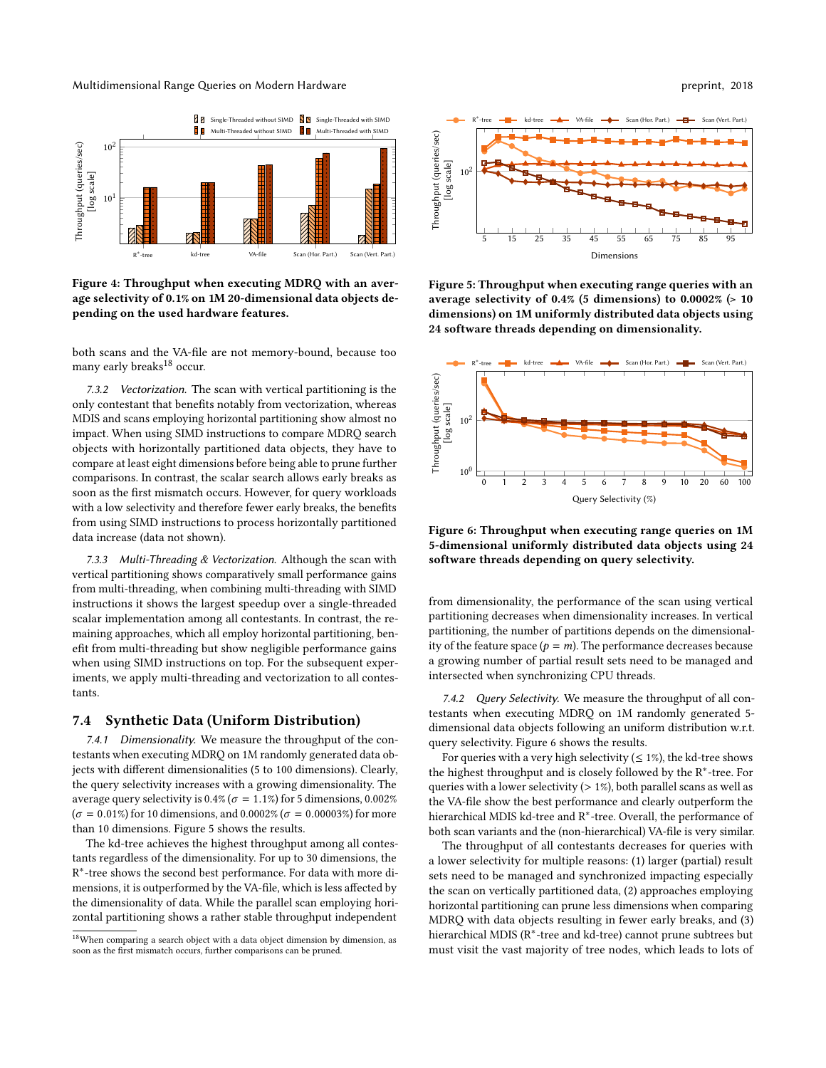

Figure 4: Throughput when executing MDRQ with an average selectivity of 0.1% on 1M 20-dimensional data objects depending on the used hardware features.

both scans and the VA-file are not memory-bound, because too many early breaks<sup>18</sup> occur.

7.3.2 Vectorization. The scan with vertical partitioning is the only contestant that benefits notably from vectorization, whereas MDIS and scans employing horizontal partitioning show almost no impact. When using SIMD instructions to compare MDRQ search objects with horizontally partitioned data objects, they have to compare at least eight dimensions before being able to prune further comparisons. In contrast, the scalar search allows early breaks as soon as the first mismatch occurs. However, for query workloads with a low selectivity and therefore fewer early breaks, the benefits from using SIMD instructions to process horizontally partitioned data increase (data not shown).

7.3.3 Multi-Threading & Vectorization. Although the scan with vertical partitioning shows comparatively small performance gains from multi-threading, when combining multi-threading with SIMD instructions it shows the largest speedup over a single-threaded scalar implementation among all contestants. In contrast, the remaining approaches, which all employ horizontal partitioning, benefit from multi-threading but show negligible performance gains when using SIMD instructions on top. For the subsequent experiments, we apply multi-threading and vectorization to all contestants.

# 7.4 Synthetic Data (Uniform Distribution)

7.4.1 Dimensionality. We measure the throughput of the contestants when executing MDRQ on 1M randomly generated data objects with different dimensionalities (5 to 100 dimensions). Clearly, the query selectivity increases with a growing dimensionality. The average query selectivity is 0.4% ( $\sigma = 1.1$ %) for 5 dimensions, 0.002%  $(\sigma = 0.01\%)$  for 10 dimensions, and 0.0002% ( $\sigma = 0.00003\%$ ) for more than 10 dimensions. Figure 5 shows the results.

The kd-tree achieves the highest throughput among all contestants regardless of the dimensionality. For up to 30 dimensions, the R ∗ -tree shows the second best performance. For data with more dimensions, it is outperformed by the VA-file, which is less affected by the dimensionality of data. While the parallel scan employing horizontal partitioning shows a rather stable throughput independent



Figure 5: Throughput when executing range queries with an average selectivity of  $0.4\%$  (5 dimensions) to  $0.0002\%$  (> 10 dimensions) on 1M uniformly distributed data objects using 24 software threads depending on dimensionality.



Figure 6: Throughput when executing range queries on 1M 5-dimensional uniformly distributed data objects using 24 software threads depending on query selectivity.

from dimensionality, the performance of the scan using vertical partitioning decreases when dimensionality increases. In vertical partitioning, the number of partitions depends on the dimensionality of the feature space ( $p = m$ ). The performance decreases because a growing number of partial result sets need to be managed and intersected when synchronizing CPU threads.

7.4.2 Query Selectivity. We measure the throughput of all contestants when executing MDRQ on 1M randomly generated 5 dimensional data objects following an uniform distribution w.r.t. query selectivity. Figure 6 shows the results.

For queries with a very high selectivity ( $\leq$  1%), the kd-tree shows the highest throughput and is closely followed by the R∗ -tree. For queries with a lower selectivity ( $> 1\%$ ), both parallel scans as well as the VA-file show the best performance and clearly outperform the hierarchical MDIS kd-tree and R<sup>\*</sup>-tree. Overall, the performance of both scan variants and the (non-hierarchical) VA-file is very similar.

The throughput of all contestants decreases for queries with a lower selectivity for multiple reasons: (1) larger (partial) result sets need to be managed and synchronized impacting especially the scan on vertically partitioned data, (2) approaches employing horizontal partitioning can prune less dimensions when comparing MDRQ with data objects resulting in fewer early breaks, and (3) hierarchical MDIS (R∗ -tree and kd-tree) cannot prune subtrees but must visit the vast majority of tree nodes, which leads to lots of

 $18$ When comparing a search object with a data object dimension by dimension, as soon as the first mismatch occurs, further comparisons can be pruned.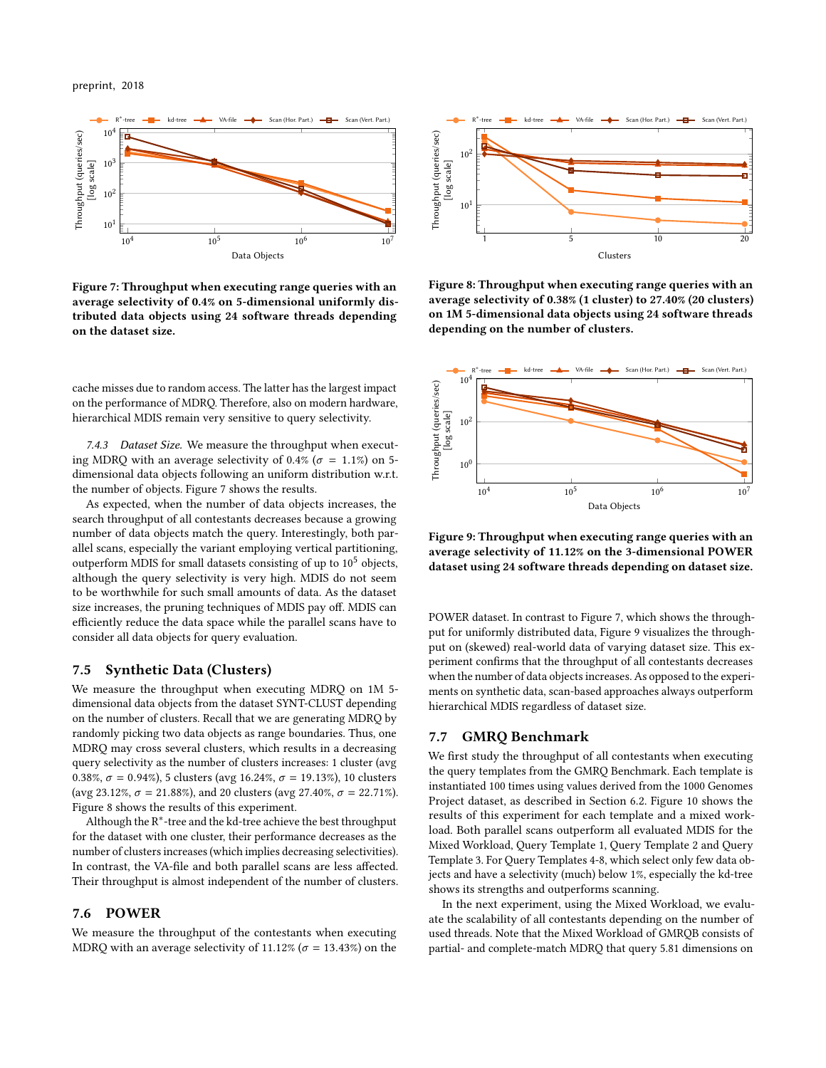preprint, 2018



Figure 7: Throughput when executing range queries with an average selectivity of 0.4% on 5-dimensional uniformly distributed data objects using 24 software threads depending on the dataset size.

cache misses due to random access. The latter has the largest impact on the performance of MDRQ. Therefore, also on modern hardware, hierarchical MDIS remain very sensitive to query selectivity.

7.4.3 Dataset Size. We measure the throughput when executing MDRO with an average selectivity of 0.4% ( $\sigma = 1.1\%$ ) on 5dimensional data objects following an uniform distribution w.r.t. the number of objects. Figure 7 shows the results.

As expected, when the number of data objects increases, the search throughput of all contestants decreases because a growing number of data objects match the query. Interestingly, both parallel scans, especially the variant employing vertical partitioning, outperform MDIS for small datasets consisting of up to  $10<sup>5</sup>$  objects, although the query selectivity is very high. MDIS do not seem to be worthwhile for such small amounts of data. As the dataset size increases, the pruning techniques of MDIS pay off. MDIS can efficiently reduce the data space while the parallel scans have to consider all data objects for query evaluation.

# 7.5 Synthetic Data (Clusters)

We measure the throughput when executing MDRQ on 1M 5 dimensional data objects from the dataset SYNT-CLUST depending on the number of clusters. Recall that we are generating MDRQ by randomly picking two data objects as range boundaries. Thus, one MDRQ may cross several clusters, which results in a decreasing query selectivity as the number of clusters increases: 1 cluster (avg 0.38%, σ = 0.94%), 5 clusters (avg 16.24%, σ = 19.13%), 10 clusters (avg 23.12%,  $\sigma = 21.88\%$ ), and 20 clusters (avg 27.40%,  $\sigma = 22.71\%$ ). Figure 8 shows the results of this experiment.

Although the R∗ -tree and the kd-tree achieve the best throughput for the dataset with one cluster, their performance decreases as the number of clusters increases (which implies decreasing selectivities). In contrast, the VA-file and both parallel scans are less affected. Their throughput is almost independent of the number of clusters.

# 7.6 POWER

We measure the throughput of the contestants when executing MDRQ with an average selectivity of 11.12% ( $\sigma = 13.43$ %) on the



Figure 8: Throughput when executing range queries with an average selectivity of 0.38% (1 cluster) to 27.40% (20 clusters) on 1M 5-dimensional data objects using 24 software threads depending on the number of clusters.



Figure 9: Throughput when executing range queries with an average selectivity of 11.12% on the 3-dimensional POWER dataset using 24 software threads depending on dataset size.

POWER dataset. In contrast to Figure 7, which shows the throughput for uniformly distributed data, Figure 9 visualizes the throughput on (skewed) real-world data of varying dataset size. This experiment confirms that the throughput of all contestants decreases when the number of data objects increases. As opposed to the experiments on synthetic data, scan-based approaches always outperform hierarchical MDIS regardless of dataset size.

### 7.7 GMRQ Benchmark

We first study the throughput of all contestants when executing the query templates from the GMRQ Benchmark. Each template is instantiated 100 times using values derived from the 1000 Genomes Project dataset, as described in Section 6.2. Figure 10 shows the results of this experiment for each template and a mixed workload. Both parallel scans outperform all evaluated MDIS for the Mixed Workload, Query Template 1, Query Template 2 and Query Template 3. For Query Templates 4-8, which select only few data objects and have a selectivity (much) below 1%, especially the kd-tree shows its strengths and outperforms scanning.

In the next experiment, using the Mixed Workload, we evaluate the scalability of all contestants depending on the number of used threads. Note that the Mixed Workload of GMRQB consists of partial- and complete-match MDRQ that query 5.81 dimensions on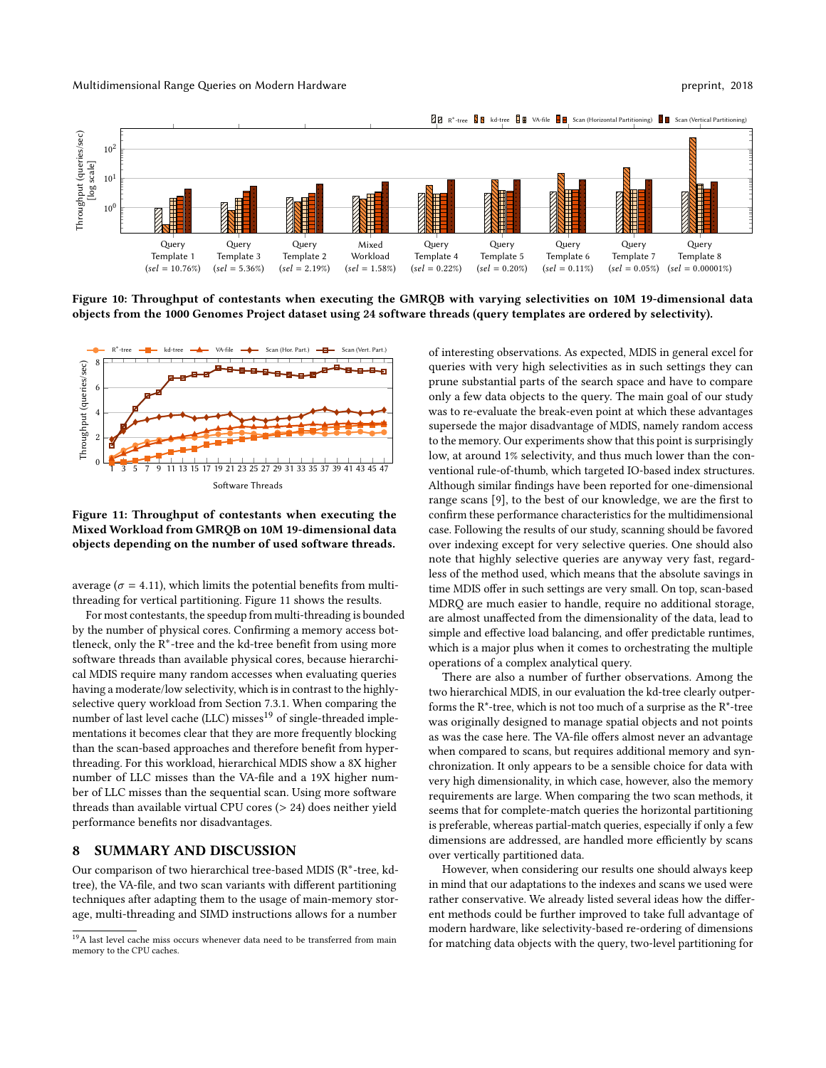

Figure 10: Throughput of contestants when executing the GMRQB with varying selectivities on 10M 19-dimensional data objects from the 1000 Genomes Project dataset using 24 software threads (query templates are ordered by selectivity).



Figure 11: Throughput of contestants when executing the Mixed Workload from GMRQB on 10M 19-dimensional data objects depending on the number of used software threads.

average ( $\sigma$  = 4.11), which limits the potential benefits from multithreading for vertical partitioning. Figure 11 shows the results.

For most contestants, the speedup from multi-threading is bounded by the number of physical cores. Confirming a memory access bottleneck, only the R∗ -tree and the kd-tree benefit from using more software threads than available physical cores, because hierarchical MDIS require many random accesses when evaluating queries having a moderate/low selectivity, which is in contrast to the highlyselective query workload from Section 7.3.1. When comparing the number of last level cache (LLC) misses<sup>19</sup> of single-threaded implementations it becomes clear that they are more frequently blocking than the scan-based approaches and therefore benefit from hyperthreading. For this workload, hierarchical MDIS show a 8X higher number of LLC misses than the VA-file and a 19X higher number of LLC misses than the sequential scan. Using more software threads than available virtual CPU cores (> 24) does neither yield performance benefits nor disadvantages.

### 8 SUMMARY AND DISCUSSION

Our comparison of two hierarchical tree-based MDIS (R∗ -tree, kdtree), the VA-file, and two scan variants with different partitioning techniques after adapting them to the usage of main-memory storage, multi-threading and SIMD instructions allows for a number

of interesting observations. As expected, MDIS in general excel for queries with very high selectivities as in such settings they can prune substantial parts of the search space and have to compare only a few data objects to the query. The main goal of our study was to re-evaluate the break-even point at which these advantages supersede the major disadvantage of MDIS, namely random access to the memory. Our experiments show that this point is surprisingly low, at around 1% selectivity, and thus much lower than the conventional rule-of-thumb, which targeted IO-based index structures. Although similar findings have been reported for one-dimensional range scans [9], to the best of our knowledge, we are the first to confirm these performance characteristics for the multidimensional case. Following the results of our study, scanning should be favored over indexing except for very selective queries. One should also note that highly selective queries are anyway very fast, regardless of the method used, which means that the absolute savings in time MDIS offer in such settings are very small. On top, scan-based MDRQ are much easier to handle, require no additional storage, are almost unaffected from the dimensionality of the data, lead to simple and effective load balancing, and offer predictable runtimes, which is a major plus when it comes to orchestrating the multiple operations of a complex analytical query.

There are also a number of further observations. Among the two hierarchical MDIS, in our evaluation the kd-tree clearly outperforms the  $R^*$ -tree, which is not too much of a surprise as the  $R^*$ -tree was originally designed to manage spatial objects and not points as was the case here. The VA-file offers almost never an advantage when compared to scans, but requires additional memory and synchronization. It only appears to be a sensible choice for data with very high dimensionality, in which case, however, also the memory requirements are large. When comparing the two scan methods, it seems that for complete-match queries the horizontal partitioning is preferable, whereas partial-match queries, especially if only a few dimensions are addressed, are handled more efficiently by scans over vertically partitioned data.

However, when considering our results one should always keep in mind that our adaptations to the indexes and scans we used were rather conservative. We already listed several ideas how the different methods could be further improved to take full advantage of modern hardware, like selectivity-based re-ordering of dimensions for matching data objects with the query, two-level partitioning for

<sup>&</sup>lt;sup>19</sup>A last level cache miss occurs whenever data need to be transferred from main memory to the CPU caches.